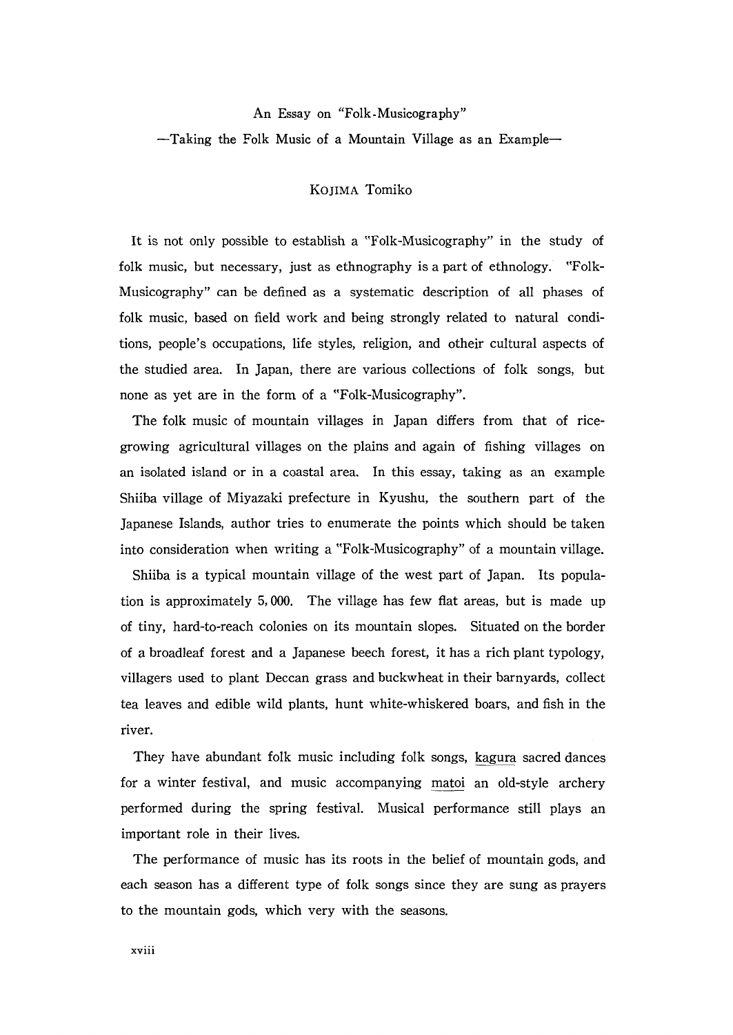## An Essay on "Folk-Musicography"

Taking the Folk Music of a Mountain Village as an Example一

## KOJIMA Tomiko

It is not only possible to establish a "Folk-Musicography" in the study of folk music, but necessary, just as ethnography is a part of ethnology. "Folk-Musicography" can be defined as a systematic description of all phases of folk music, based on field work and being strongly related to natural condi tions, people's occupations, life styles, religion, and otheir cultural aspects of the studied area. In Japan, there are various collections of folk songs, but none as yet are in the form of a"Folk-Musicography".

The folk music of mountain villages in Japan differs from that of ricegrowing agricultural villages on the plains and again of fishing villages on an isolated island or in a coastal area. In this essay, taking as an example Shiiba village of Miyazaki prefecture in Kyushu, the southern part of the Japanese Islands, author tries to enumerate the points which should be taken into consideration when writing a "Folk-Musicography" of a mountain village.

 Shiiba is a typical mountain village of the west part of Japan. Its popula tion is approximately 5,000. The village has few flat areas, but is made up of tiny, hard-to-reach colonies on its mountain slopes. Situated on the border of a broadleaf forest and a Japanese beech forest, it has a rich plant typology, villagers used to plant Deccan grass and buckwheat in their barnyards, collect tea leaves and edible wild plants, hunt white-whiskered boars, and fish in the river.

 They have abundant folk music including folk songs, kagura sacred dances for a winter festival, and music accompanying matoi an old-style archery performed during the spring festiva1. Musical performance still plays an important role in their lives.

 The performance of music has its roots in the belief of mountain gods, and each season has a different type of folk songs since they are sung as prayers to the mountain gods, which very with the seasons.